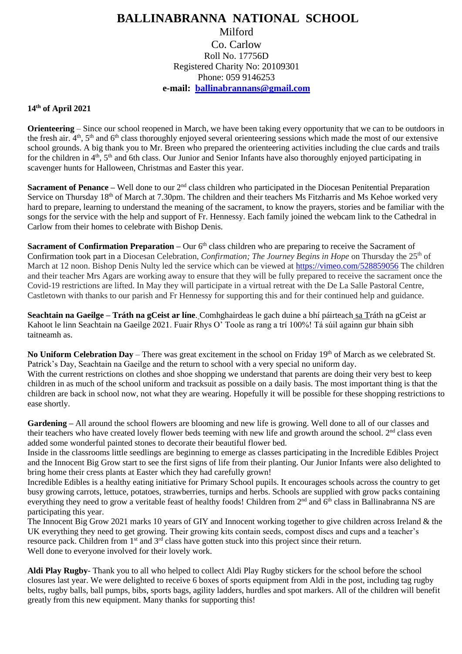## **BALLINABRANNA NATIONAL SCHOOL** Milford Co. Carlow Roll No. 17756D Registered Charity No: 20109301 Phone: 059 9146253 **e-mail: [ballinabrannans@gmail.com](mailto:ballinabrannans@gmail.com)**

## **14th of April 2021**

**Orienteering** – Since our school reopened in March, we have been taking every opportunity that we can to be outdoors in the fresh air. 4<sup>th</sup>, 5<sup>th</sup> and 6<sup>th</sup> class thoroughly enjoyed several orienteering sessions which made the most of our extensive school grounds. A big thank you to Mr. Breen who prepared the orienteering activities including the clue cards and trails for the children in  $4<sup>th</sup>$ ,  $5<sup>th</sup>$  and 6th class. Our Junior and Senior Infants have also thoroughly enjoyed participating in scavenger hunts for Halloween, Christmas and Easter this year.

**Sacrament of Penance** – Well done to our 2<sup>nd</sup> class children who participated in the Diocesan Penitential Preparation Service on Thursday 18<sup>th</sup> of March at 7.30pm. The children and their teachers Ms Fitzharris and Ms Kehoe worked very hard to prepare, learning to understand the meaning of the sacrament, to know the prayers, stories and be familiar with the songs for the service with the help and support of Fr. Hennessy. Each family joined the webcam link to the Cathedral in Carlow from their homes to celebrate with Bishop Denis.

**Sacrament of Confirmation Preparation –** Our 6<sup>th</sup> class children who are preparing to receive the Sacrament of Confirmation took part in a Diocesan Celebration, *Confirmation; The Journey Begins in Hope* on Thursday the 25<sup>th</sup> of March at 12 noon. Bishop Denis Nulty led the service which can be viewed at<https://vimeo.com/528859056> The children and their teacher Mrs Agars are working away to ensure that they will be fully prepared to receive the sacrament once the Covid-19 restrictions are lifted. In May they will participate in a virtual retreat with the De La Salle Pastoral Centre, Castletown with thanks to our parish and Fr Hennessy for supporting this and for their continued help and guidance.

**Seachtain na Gaeilge – Tráth na gCeist ar líne**. Comhghairdeas le gach duine a bhí páirteach sa Tráth na gCeist ar Kahoot le linn Seachtain na Gaeilge 2021. Fuair Rhys O' Toole as rang a trí 100%! Tá súil againn gur bhain sibh taitneamh as.

**No Uniform Celebration Day** – There was great excitement in the school on Friday 19th of March as we celebrated St. Patrick's Day, Seachtain na Gaeilge and the return to school with a very special no uniform day. With the current restrictions on clothes and shoe shopping we understand that parents are doing their very best to keep children in as much of the school uniform and tracksuit as possible on a daily basis. The most important thing is that the children are back in school now, not what they are wearing. Hopefully it will be possible for these shopping restrictions to ease shortly.

**Gardening –** All around the school flowers are blooming and new life is growing. Well done to all of our classes and their teachers who have created lovely flower beds teeming with new life and growth around the school.  $2<sup>nd</sup>$  class even added some wonderful painted stones to decorate their beautiful flower bed.

Inside in the classrooms little seedlings are beginning to emerge as classes participating in the Incredible Edibles Project and the Innocent Big Grow start to see the first signs of life from their planting. Our Junior Infants were also delighted to bring home their cress plants at Easter which they had carefully grown!

Incredible Edibles is a healthy eating initiative for Primary School pupils. It encourages schools across the country to get busy growing carrots, lettuce, potatoes, strawberries, turnips and herbs. Schools are supplied with grow packs containing everything they need to grow a veritable feast of healthy foods! Children from 2<sup>nd</sup> and 6<sup>th</sup> class in Ballinabranna NS are participating this year.

The Innocent Big Grow 2021 marks 10 years of GIY and Innocent working together to give children across Ireland & the UK everything they need to get growing. Their growing kits contain seeds, compost discs and cups and a teacher's resource pack. Children from 1<sup>st</sup> and 3<sup>rd</sup> class have gotten stuck into this project since their return. Well done to everyone involved for their lovely work.

**Aldi Play Rugby**- Thank you to all who helped to collect Aldi Play Rugby stickers for the school before the school closures last year. We were delighted to receive 6 boxes of sports equipment from Aldi in the post, including tag rugby belts, rugby balls, ball pumps, bibs, sports bags, agility ladders, hurdles and spot markers. All of the children will benefit greatly from this new equipment. Many thanks for supporting this!